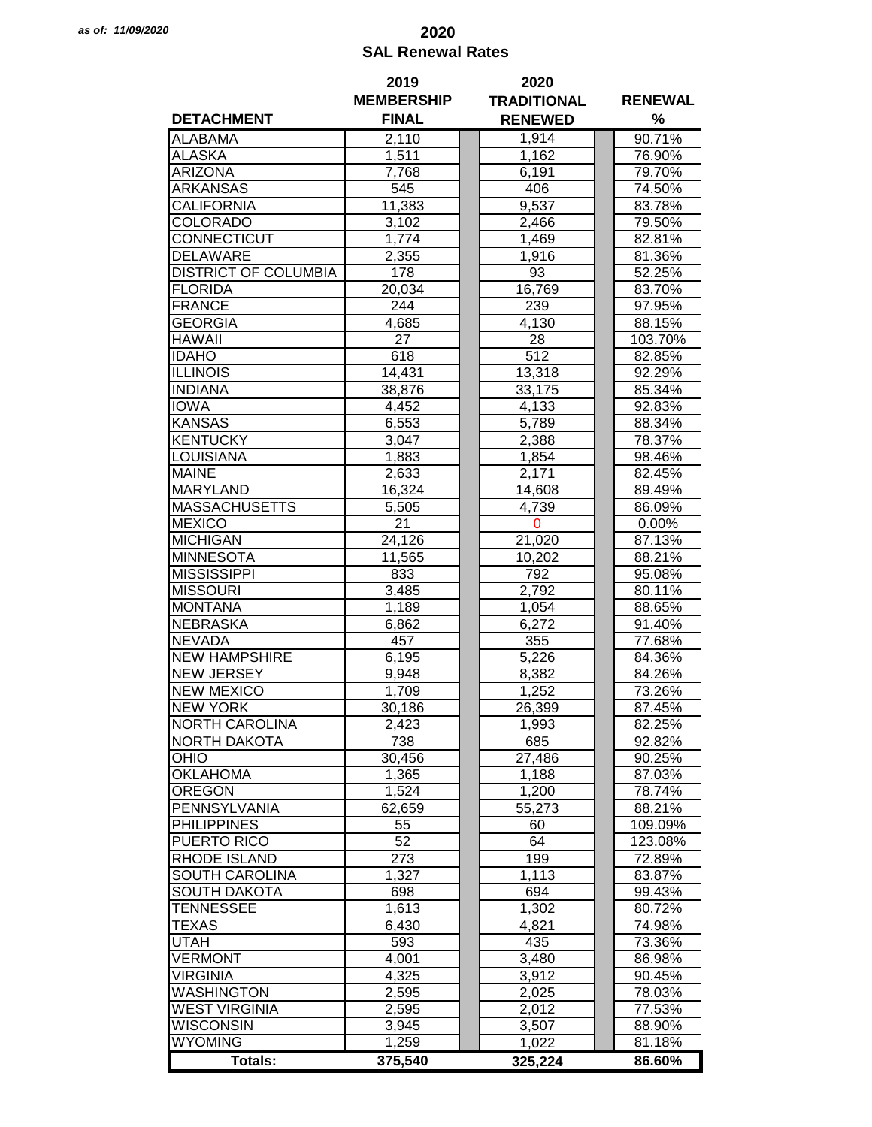## *as of: 11/09/2020* **2020 SAL Renewal Rates**

|                             | 2019              | 2020               |                  |
|-----------------------------|-------------------|--------------------|------------------|
|                             | <b>MEMBERSHIP</b> | <b>TRADITIONAL</b> | <b>RENEWAL</b>   |
| <b>DETACHMENT</b>           | <b>FINAL</b>      | <b>RENEWED</b>     | %                |
| <b>ALABAMA</b>              | 2,110             | 1,914              | 90.71%           |
| <b>ALASKA</b>               | 1,511             | 1,162              | 76.90%           |
| <b>ARIZONA</b>              | 7,768             | 6,191              | 79.70%           |
| ARKANSAS                    | 545               | 406                | 74.50%           |
|                             |                   |                    |                  |
| CALIFORNIA                  | 11,383            | 9,537              | 83.78%           |
| <b>COLORADO</b>             | 3,102             | 2,466              | 79.50%           |
| CONNECTICUT                 | 1,774             | 1,469              | 82.81%           |
| <b>DELAWARE</b>             | 2,355             | 1,916              | 81.36%           |
| <b>DISTRICT OF COLUMBIA</b> | 178               | 93                 | 52.25%           |
| <b>FLORIDA</b>              | 20,034            | 16,769             | 83.70%           |
| <b>FRANCE</b>               | 244               | 239                | 97.95%           |
| <b>GEORGIA</b>              | 4,685             | 4,130              | 88.15%           |
| <b>HAWAII</b>               | 27                | 28                 | 103.70%          |
| <b>IDAHO</b>                | 618               | 512                | 82.85%           |
| <b>ILLINOIS</b>             | 14,431            | 13,318             | 92.29%           |
| <b>INDIANA</b>              | 38,876            | 33,175             | 85.34%           |
| <b>IOWA</b>                 | 4,452             | 4,133              | 92.83%           |
| <b>KANSAS</b>               | 6,553             | 5,789              | 88.34%           |
| <b>KENTUCKY</b>             | 3,047             | 2,388              | 78.37%           |
| <b>LOUISIANA</b>            | 1,883             | 1,854              | 98.46%           |
| <b>MAINE</b>                | 2,633             | 2,171              | 82.45%           |
| <b>MARYLAND</b>             | 16,324            | 14,608             | 89.49%           |
| <b>MASSACHUSETTS</b>        | 5,505             | 4,739              | 86.09%           |
| <b>MEXICO</b>               | 21                | $\mathbf 0$        | $0.00\%$         |
| <b>MICHIGAN</b>             | 24,126            | 21,020             | 87.13%           |
| <b>MINNESOTA</b>            | 11,565            | 10,202             | 88.21%           |
| <b>MISSISSIPPI</b>          | 833               |                    |                  |
| <b>MISSOURI</b>             |                   | 792                | 95.08%<br>80.11% |
| <b>MONTANA</b>              | 3,485             | 2,792              |                  |
|                             | 1,189             | 1,054              | 88.65%           |
| <b>NEBRASKA</b>             | 6,862             | 6,272              | 91.40%           |
| <b>NEVADA</b>               | 457               | 355                | 77.68%           |
| <b>NEW HAMPSHIRE</b>        | 6,195             | 5,226              | 84.36%           |
| <b>NEW JERSEY</b>           | 9,948             | 8,382              | 84.26%           |
| <b>NEW MEXICO</b>           | 1,709             | 1,252              | 73.26%           |
| <b>NEW YORK</b>             | 30,186            | 26,399             | 87.45%           |
| <b>NORTH CAROLINA</b>       | 2,423             | 1,993              | 82.25%           |
| <b>NORTH DAKOTA</b>         | 738               | 685                | 92.82%           |
| OHIO                        | 30,456            | 27,486             | 90.25%           |
| <b>OKLAHOMA</b>             | 1,365             | 1,188              | 87.03%           |
| <b>OREGON</b>               | 1,524             | 1,200              | 78.74%           |
| PENNSYLVANIA                | 62,659            | 55,273             | 88.21%           |
| <b>PHILIPPINES</b>          | 55                | 60                 | 109.09%          |
| PUERTO RICO                 | 52                | 64                 | 123.08%          |
| RHODE ISLAND                | 273               | 199                | 72.89%           |
| SOUTH CAROLINA              | 1,327             | 1,113              | 83.87%           |
| <b>SOUTH DAKOTA</b>         | 698               | 694                | 99.43%           |
| <b>TENNESSEE</b>            | 1,613             | 1,302              | 80.72%           |
| <b>TEXAS</b>                | 6,430             | 4,821              | 74.98%           |
| <b>UTAH</b>                 | 593               | 435                | 73.36%           |
| <b>VERMONT</b>              | 4,001             | 3,480              | 86.98%           |
| <b>VIRGINIA</b>             | 4,325             | 3,912              | 90.45%           |
| <b>WASHINGTON</b>           | 2,595             | 2,025              | 78.03%           |
| <b>WEST VIRGINIA</b>        | 2,595             | 2,012              | 77.53%           |
| <b>WISCONSIN</b>            | 3,945             | 3,507              | 88.90%           |
| <b>WYOMING</b>              | 1,259             | 1,022              | 81.18%           |
|                             |                   |                    |                  |
| <b>Totals:</b>              | 375,540           | 325,224            | 86.60%           |